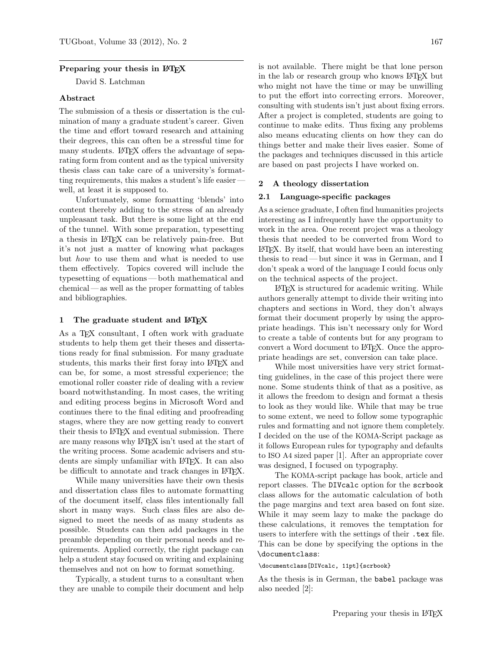#### Preparing your thesis in LAT<sub>EX</sub>

David S. Latchman

#### Abstract

The submission of a thesis or dissertation is the culmination of many a graduate student's career. Given the time and effort toward research and attaining their degrees, this can often be a stressful time for many students. LAT<sub>F</sub>X offers the advantage of separating form from content and as the typical university thesis class can take care of a university's formatting requirements, this makes a student's life easier well, at least it is supposed to.

Unfortunately, some formatting 'blends' into content thereby adding to the stress of an already unpleasant task. But there is some light at the end of the tunnel. With some preparation, typesetting a thesis in LATEX can be relatively pain-free. But it's not just a matter of knowing what packages but how to use them and what is needed to use them effectively. Topics covered will include the typesetting of equations— both mathematical and chemical — as well as the proper formatting of tables and bibliographies.

#### 1 The graduate student and LATEX

As a T<sub>E</sub>X consultant, I often work with graduate students to help them get their theses and dissertations ready for final submission. For many graduate students, this marks their first foray into LATEX and can be, for some, a most stressful experience; the emotional roller coaster ride of dealing with a review board notwithstanding. In most cases, the writing and editing process begins in Microsoft Word and continues there to the final editing and proofreading stages, where they are now getting ready to convert their thesis to LAT<sub>EX</sub> and eventual submission. There are many reasons why LAT<sub>EX</sub> isn't used at the start of the writing process. Some academic advisers and students are simply unfamiliar with LAT<sub>EX</sub>. It can also be difficult to annotate and track changes in LAT<sub>EX</sub>.

While many universities have their own thesis and dissertation class files to automate formatting of the document itself, class files intentionally fall short in many ways. Such class files are also designed to meet the needs of as many students as possible. Students can then add packages in the preamble depending on their personal needs and requirements. Applied correctly, the right package can help a student stay focused on writing and explaining themselves and not on how to format something.

Typically, a student turns to a consultant when they are unable to compile their document and help

is not available. There might be that lone person in the lab or research group who knows LATEX but who might not have the time or may be unwilling to put the effort into correcting errors. Moreover, consulting with students isn't just about fixing errors. After a project is completed, students are going to continue to make edits. Thus fixing any problems also means educating clients on how they can do things better and make their lives easier. Some of the packages and techniques discussed in this article are based on past projects I have worked on.

#### 2 A theology dissertation

#### 2.1 Language-specific packages

As a science graduate, I often find humanities projects interesting as I infrequently have the opportunity to work in the area. One recent project was a theology thesis that needed to be converted from Word to LATEX. By itself, that would have been an interesting thesis to read— but since it was in German, and I don't speak a word of the language I could focus only on the technical aspects of the project.

LATEX is structured for academic writing. While authors generally attempt to divide their writing into chapters and sections in Word, they don't always format their document properly by using the appropriate headings. This isn't necessary only for Word to create a table of contents but for any program to convert a Word document to L<sup>AT</sup>FX. Once the appropriate headings are set, conversion can take place.

While most universities have very strict formatting guidelines, in the case of this project there were none. Some students think of that as a positive, as it allows the freedom to design and format a thesis to look as they would like. While that may be true to some extent, we need to follow some typographic rules and formatting and not ignore them completely. I decided on the use of the KOMA-Script package as it follows European rules for typography and defaults to ISO A4 sized paper [1]. After an appropriate cover was designed, I focused on typography.

The KOMA-script package has book, article and report classes. The DIVcalc option for the scrbook class allows for the automatic calculation of both the page margins and text area based on font size. While it may seem lazy to make the package do these calculations, it removes the temptation for users to interfere with the settings of their .tex file. This can be done by specifying the options in the \documentclass:

#### \documentclass[DIVcalc, 11pt]{scrbook}

As the thesis is in German, the babel package was also needed [2]: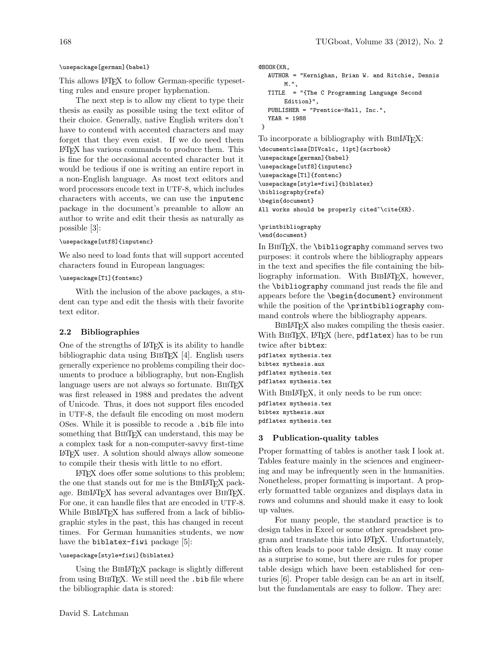#### \usepackage[german]{babel}

This allows LATEX to follow German-specific typesetting rules and ensure proper hyphenation.

The next step is to allow my client to type their thesis as easily as possible using the text editor of their choice. Generally, native English writers don't have to contend with accented characters and may forget that they even exist. If we do need them LATEX has various commands to produce them. This is fine for the occasional accented character but it would be tedious if one is writing an entire report in a non-English language. As most text editors and word processors encode text in UTF-8, which includes characters with accents, we can use the inputenc package in the document's preamble to allow an author to write and edit their thesis as naturally as possible [3]:

#### \usepackage[utf8]{inputenc}

We also need to load fonts that will support accented characters found in European languages:

## \usepackage[T1]{fontenc}

With the inclusion of the above packages, a student can type and edit the thesis with their favorite text editor.

## 2.2 Bibliographies

One of the strengths of LATEX is its ability to handle bibliographic data using BibTEX [4]. English users generally experience no problems compiling their documents to produce a bibliography, but non-English language users are not always so fortunate. BIBTEX was first released in 1988 and predates the advent of Unicode. Thus, it does not support files encoded in UTF-8, the default file encoding on most modern OSes. While it is possible to recode a .bib file into something that BIBTEX can understand, this may be a complex task for a non-computer-savvy first-time LATEX user. A solution should always allow someone to compile their thesis with little to no effort.

LATEX does offer some solutions to this problem; the one that stands out for me is the BIBIAT<sub>EX</sub> package. BibLATEX has several advantages over BibTEX. For one, it can handle files that are encoded in UTF-8. While BIBLAT<sub>EX</sub> has suffered from a lack of bibliographic styles in the past, this has changed in recent times. For German humanities students, we now have the biblatex-fiwi package [5]:

#### \usepackage[style=fiwi]{biblatex}

Using the BIBIAT<sub>EX</sub> package is slightly different from using BibTEX. We still need the .bib file where the bibliographic data is stored:

```
@BOOK{KR,
  AUTHOR = "Kernighan, Brian W. and Ritchie, Dennis
       M.",
  TITLE = "{The C Programming Language Second
       Edition}",
  PUBLISHER = "Prentice-Hall, Inc.",
  YEAR = 1988
}
To incorporate a bibliography with BIBLAT<sub>EX</sub>:
```

```
\documentclass[DIVcalc, 11pt]{scrbook}
\usepackage[german]{babel}
\usepackage[utf8]{inputenc}
\usepackage[T1]{fontenc}
\usepackage[style=fiwi]{biblatex}
\bibliography{refs}
\begin{document}
All works should be properly cited~\cite{KR}.
```
\printbibliography \end{document}

In BIBT<sub>F</sub>X, the **\bibliography** command serves two purposes: it controls where the bibliography appears in the text and specifies the file containing the bibliography information. With BIBLATEX, however, the \bibliography command just reads the file and appears before the \begin{document} environment while the position of the \printbibliography command controls where the bibliography appears.

BIBLAT<sub>EX</sub> also makes compiling the thesis easier. With BIBTEX, LATEX (here, pdflatex) has to be run twice after bibtex: pdflatex mythesis.tex bibtex mythesis.aux pdflatex mythesis.tex pdflatex mythesis.tex With BIBLAT<sub>EX</sub>, it only needs to be run once: pdflatex mythesis.tex bibtex mythesis.aux pdflatex mythesis.tex

#### 3 Publication-quality tables

Proper formatting of tables is another task I look at. Tables feature mainly in the sciences and engineering and may be infrequently seen in the humanities. Nonetheless, proper formatting is important. A properly formatted table organizes and displays data in rows and columns and should make it easy to look up values.

For many people, the standard practice is to design tables in Excel or some other spreadsheet program and translate this into LATEX. Unfortunately, this often leads to poor table design. It may come as a surprise to some, but there are rules for proper table design which have been established for centuries [6]. Proper table design can be an art in itself, but the fundamentals are easy to follow. They are: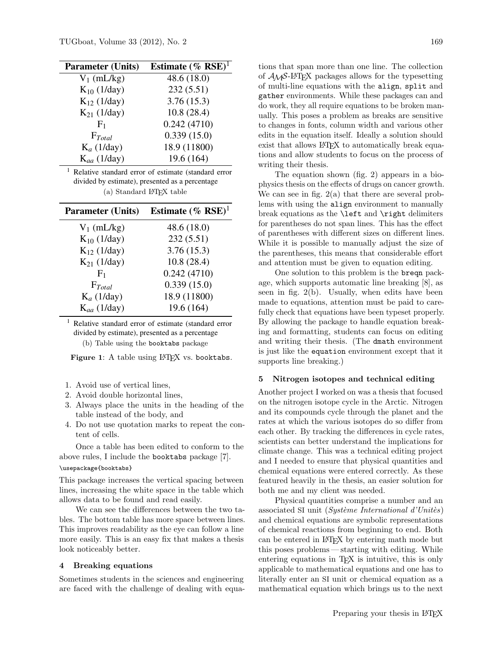| <b>Parameter (Units)</b> | Estimate (% $RSE$ ) <sup>1</sup> |
|--------------------------|----------------------------------|
| $V_1$ (mL/kg)            | 48.6 (18.0)                      |
| $K_{10}$ (1/day)         | 232(5.51)                        |
| $K_{12}$ (1/day)         | 3.76(15.3)                       |
| $K_{21}$ (1/day)         | 10.8(28.4)                       |
| F <sub>1</sub>           | 0.242(4710)                      |
| $F_{Total}$              | 0.339(15.0)                      |
| $K_a$ (1/day)            | 18.9 (11800)                     |
| $K_{aa}$ (1/day)         | 19.6 (164)                       |

<sup>1</sup> Relative standard error of estimate (standard error divided by estimate), presented as a percentage  $(a)$  Standard L<sup>AT</sup>FX table

| <b>Parameter (Units)</b> | Estimate (% RSE) <sup>1</sup> |
|--------------------------|-------------------------------|
| $V_1$ (mL/kg)            | 48.6 (18.0)                   |
| $K_{10}$ (1/day)         | 232(5.51)                     |
| $K_{12}$ (1/day)         | 3.76(15.3)                    |
| $K_{21}$ (1/day)         | 10.8(28.4)                    |
| F <sub>1</sub>           | 0.242(4710)                   |
| $F_{Total}$              | 0.339(15.0)                   |
| $K_a$ (1/day)            | 18.9 (11800)                  |
| $K_{aa}$ (1/day)         | 19.6 (164)                    |

<sup>1</sup> Relative standard error of estimate (standard error divided by estimate), presented as a percentage (b) Table using the booktabs package

Figure 1: A table using LAT<sub>EX</sub> vs. booktabs.

- 1. Avoid use of vertical lines,
- 2. Avoid double horizontal lines,
- 3. Always place the units in the heading of the table instead of the body, and
- 4. Do not use quotation marks to repeat the content of cells.

Once a table has been edited to conform to the above rules, I include the booktabs package [7].

#### \usepackage{booktabs}

This package increases the vertical spacing between lines, increasing the white space in the table which allows data to be found and read easily.

We can see the differences between the two tables. The bottom table has more space between lines. This improves readability as the eye can follow a line more easily. This is an easy fix that makes a thesis look noticeably better.

## 4 Breaking equations

Sometimes students in the sciences and engineering are faced with the challenge of dealing with equations that span more than one line. The collection of AMS-LATEX packages allows for the typesetting of multi-line equations with the align, split and gather environments. While these packages can and do work, they all require equations to be broken manually. This poses a problem as breaks are sensitive to changes in fonts, column width and various other edits in the equation itself. Ideally a solution should exist that allows LAT<sub>EX</sub> to automatically break equations and allow students to focus on the process of writing their thesis.

The equation shown (fig. 2) appears in a biophysics thesis on the effects of drugs on cancer growth. We can see in fig. 2(a) that there are several problems with using the align environment to manually break equations as the \left and \right delimiters for parentheses do not span lines. This has the effect of parentheses with different sizes on different lines. While it is possible to manually adjust the size of the parentheses, this means that considerable effort and attention must be given to equation editing.

One solution to this problem is the breqn package, which supports automatic line breaking [8], as seen in fig. 2(b). Usually, when edits have been made to equations, attention must be paid to carefully check that equations have been typeset properly. By allowing the package to handle equation breaking and formatting, students can focus on editing and writing their thesis. (The dmath environment is just like the equation environment except that it supports line breaking.)

#### 5 Nitrogen isotopes and technical editing

Another project I worked on was a thesis that focused on the nitrogen isotope cycle in the Arctic. Nitrogen and its compounds cycle through the planet and the rates at which the various isotopes do so differ from each other. By tracking the differences in cycle rates, scientists can better understand the implications for climate change. This was a technical editing project and I needed to ensure that physical quantities and chemical equations were entered correctly. As these featured heavily in the thesis, an easier solution for both me and my client was needed.

Physical quantities comprise a number and an associated SI unit (Système International d'Unitès) and chemical equations are symbolic representations of chemical reactions from beginning to end. Both can be entered in LATEX by entering math mode but this poses problems— starting with editing. While entering equations in T<sub>EX</sub> is intuitive, this is only applicable to mathematical equations and one has to literally enter an SI unit or chemical equation as a mathematical equation which brings us to the next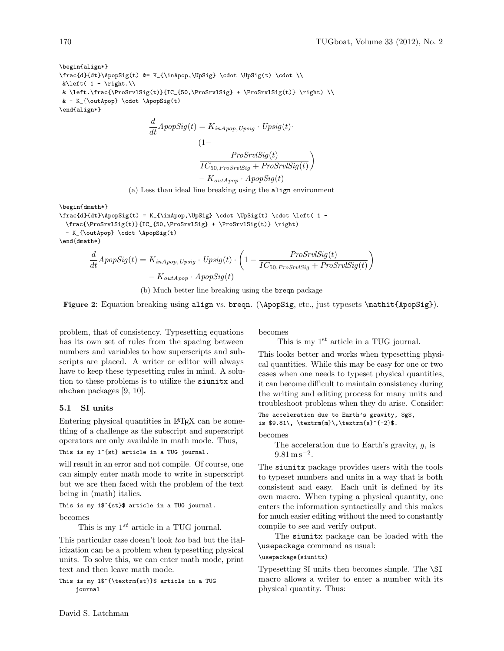\begin{align\*} \frac{d}{dt}\ApopSig(t) &= K\_{\inApop,\UpSig} \cdot \UpSig(t) \cdot \\  $\&\left\{\begin{array}{cc} 1 - \right. \right\}$  $\& \left.\frac{\Pr{StVlsig(t)}{IC_{50,\ProSrvlsig}} + \ProSrvlsig(t)} \right) \$  $& - K_{\outApp} \cdot \Lambda \$ \end{align\*}

$$
\frac{d}{dt} A popSig(t) = K_{inApop, Upsig} \cdot Upsig(t) \cdot
$$
\n
$$
(1 - \frac{ProSrvlSig(t)}{IC_{50, ProSrvlSig} + ProSrvlSig(t)}\n- K_{outApop} \cdot ApopSig(t)
$$

(a) Less than ideal line breaking using the align environment

\begin{dmath\*}

```
\frac{d}{dt}\ApopSig(t) = K_{\inApop,\UpSig} \cdot \UpSig(t) \cdot \left( 1 -
 \frac{\ProSrvlSig(t)}{IC_{50,\ProSrvlSig} + \ProSrvlSig(t)} \right)
 - K_{\outApop} \cdot \ApopSig(t)
\end{dmath*}
```

$$
\frac{d}{dt} A popSig(t) = K_{inApop, Upsig} \cdot Upsig(t) \cdot \left(1 - \frac{ProSrvlSig(t)}{IC_{50, ProSrvlSig} + ProSrvlSig(t)}\right)
$$

$$
- K_{outApop} \cdot ApopSig(t)
$$

(b) Much better line breaking using the breqn package

Figure 2: Equation breaking using align vs. breqn. (\ApopSig, etc., just typesets \mathit{ApopSig}).

problem, that of consistency. Typesetting equations has its own set of rules from the spacing between numbers and variables to how superscripts and subscripts are placed. A writer or editor will always have to keep these typesetting rules in mind. A solution to these problems is to utilize the siunitx and mhchem packages [9, 10].

## 5.1 SI units

Entering physical quantities in LAT<sub>EX</sub> can be something of a challenge as the subscript and superscript operators are only available in math mode. Thus,

This is my 1^{st} article in a TUG journal.

will result in an error and not compile. Of course, one can simply enter math mode to write in superscript but we are then faced with the problem of the text being in (math) italics.

This is my 1\$^{st}\$ article in a TUG journal.

becomes

This is my  $1^{st}$  article in a TUG journal.

This particular case doesn't look too bad but the italicization can be a problem when typesetting physical units. To solve this, we can enter math mode, print text and then leave math mode.

This is my 1\$^{\textrm{st}}\$ article in a TUG journal

becomes

#### This is my 1<sup>st</sup> article in a TUG journal.

This looks better and works when typesetting physical quantities. While this may be easy for one or two cases when one needs to typeset physical quantities, it can become difficult to maintain consistency during the writing and editing process for many units and troubleshoot problems when they do arise. Consider: The acceleration due to Earth's gravity, \$g\$,

```
is $9.81\, \text{m{n}}\, \text{extrm{s}^{-2}\.
becomes
```
The acceleration due to Earth's gravity, g, is  $9.81 \,\mathrm{m\,s^{-2}}.$ 

The siunitx package provides users with the tools to typeset numbers and units in a way that is both consistent and easy. Each unit is defined by its own macro. When typing a physical quantity, one enters the information syntactically and this makes for much easier editing without the need to constantly compile to see and verify output.

The siunitx package can be loaded with the \usepackage command as usual:

## \usepackage{siunitx}

Typesetting SI units then becomes simple. The \SI macro allows a writer to enter a number with its physical quantity. Thus: